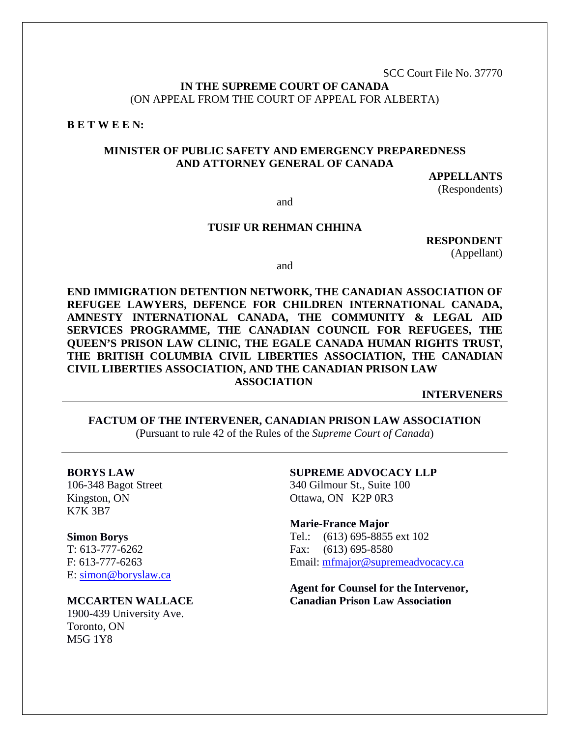SCC Court File No. 37770

**IN THE SUPREME COURT OF CANADA** (ON APPEAL FROM THE COURT OF APPEAL FOR ALBERTA)

**B E T W E E N:**

### **MINISTER OF PUBLIC SAFETY AND EMERGENCY PREPAREDNESS AND ATTORNEY GENERAL OF CANADA**

#### **APPELLANTS**

(Respondents)

and

### **TUSIF UR REHMAN CHHINA**

**RESPONDENT** (Appellant)

and

**END IMMIGRATION DETENTION NETWORK, THE CANADIAN ASSOCIATION OF REFUGEE LAWYERS, DEFENCE FOR CHILDREN INTERNATIONAL CANADA, AMNESTY INTERNATIONAL CANADA, THE COMMUNITY & LEGAL AID SERVICES PROGRAMME, THE CANADIAN COUNCIL FOR REFUGEES, THE QUEEN'S PRISON LAW CLINIC, THE EGALE CANADA HUMAN RIGHTS TRUST, THE BRITISH COLUMBIA CIVIL LIBERTIES ASSOCIATION, THE CANADIAN CIVIL LIBERTIES ASSOCIATION, AND THE CANADIAN PRISON LAW ASSOCIATION**

**INTERVENERS**

**FACTUM OF THE INTERVENER, CANADIAN PRISON LAW ASSOCIATION**  (Pursuant to rule 42 of the Rules of the *Supreme Court of Canada*)

**BORYS LAW** 106-348 Bagot Street Kingston, ON K7K 3B7

**Simon Borys**

T: 613-777-6262 F: 613-777-6263 E: [simon@boryslaw.ca](mailto:simon@boryslaw.ca) 

**MCCARTEN WALLACE**

1900-439 University Ave. Toronto, ON M5G 1Y8

**SUPREME ADVOCACY LLP**

340 Gilmour St., Suite 100 Ottawa, ON K2P 0R3

**Marie-France Major** Tel.: (613) 695-8855 ext 102 Fax: (613) 695-8580 Email: [mfmajor@supremeadvocacy.ca](mailto:mfmajor@supremeadvocacy.ca)

**Agent for Counsel for the Intervenor, Canadian Prison Law Association**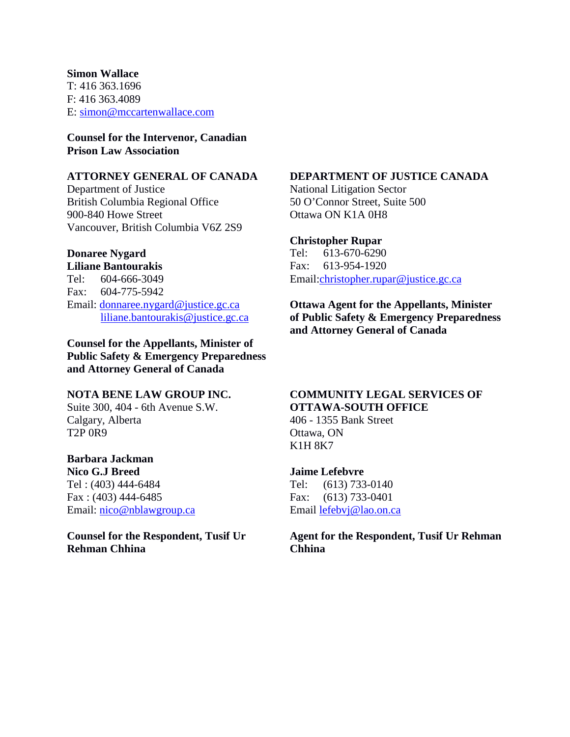#### **Simon Wallace**

T: 416 363.1696 F: 416 363.4089 E: [simon@mccartenwallace.com](mailto:simon@mccartenwallace.com)

### **Counsel for the Intervenor, Canadian Prison Law Association**

## **ATTORNEY GENERAL OF CANADA**

Department of Justice British Columbia Regional Office 900-840 Howe Street Vancouver, British Columbia V6Z 2S9

### **Donaree Nygard**

**Liliane Bantourakis** Tel: 604-666-3049 Fax: 604-775-5942 Email: [donnaree.nygard@justice.gc.ca](mailto:donnaree.nygard@justice.gc.ca) [liliane.bantourakis@justice.gc.ca](mailto:liliane.bantourakis@justice.gc.ca)

**Counsel for the Appellants, Minister of Public Safety & Emergency Preparedness and Attorney General of Canada**

### **NOTA BENE LAW GROUP INC.**

Suite 300, 404 - 6th Avenue S.W. Calgary, Alberta T2P 0R9

### **Barbara Jackman**

**Nico G.J Breed** Tel : (403) 444-6484 Fax : (403) 444-6485 Email: [nico@nblawgroup.ca](mailto:nico@nblawgroup.ca)

**Counsel for the Respondent, Tusif Ur Rehman Chhina**

# **DEPARTMENT OF JUSTICE CANADA**

National Litigation Sector 50 O'Connor Street, Suite 500 Ottawa ON K1A 0H8

### **Christopher Rupar**

Tel: 613-670-6290 Fax: 613-954-1920 Email[:christopher.rupar@justice.gc.ca](mailto:christopher.rupar@justice.gc.ca)

**Ottawa Agent for the Appellants, Minister of Public Safety & Emergency Preparedness and Attorney General of Canada**

# **COMMUNITY LEGAL SERVICES OF OTTAWA-SOUTH OFFICE**

406 - 1355 Bank Street Ottawa, ON K1H 8K7

#### **Jaime Lefebvre**

Tel: (613) 733-0140 Fax: (613) 733-0401 Email [lefebvj@lao.on.ca](mailto:lefebvj@lao.on.ca)

**Agent for the Respondent, Tusif Ur Rehman Chhina**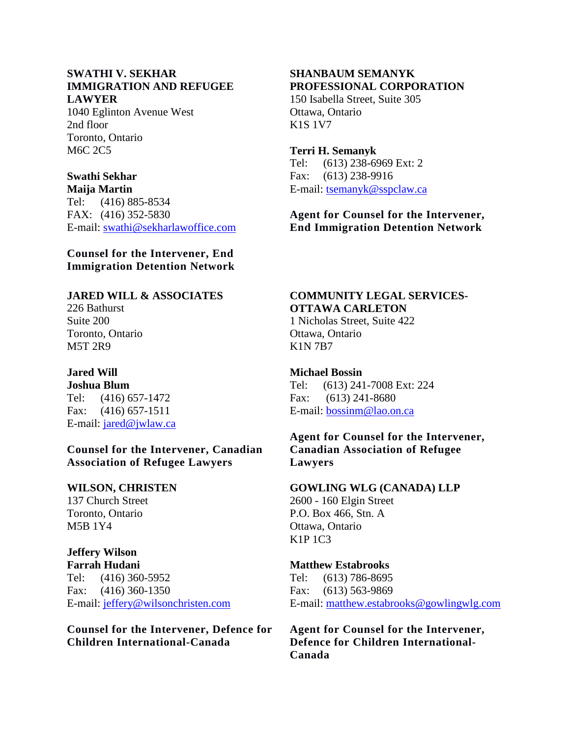#### **SWATHI V. SEKHAR IMMIGRATION AND REFUGEE LAWYER**

1040 Eglinton Avenue West 2nd floor Toronto, Ontario M6C 2C5

# **Swathi Sekhar**

**Maija Martin** Tel: (416) 885-8534 FAX: (416) 352-5830 E-mail: [swathi@sekharlawoffice.com](mailto:swathi@sekharlawoffice.com)

**Counsel for the Intervener, End Immigration Detention Network**

### **JARED WILL & ASSOCIATES**

226 Bathurst Suite 200 Toronto, Ontario M5T 2R9

#### **Jared Will Joshua Blum**

Tel: (416) 657-1472 Fax: (416) 657-1511 E-mail: [jared@jwlaw.ca](mailto:jared@jwlaw.ca)

**Counsel for the Intervener, Canadian Association of Refugee Lawyers**

### **WILSON, CHRISTEN**

137 Church Street Toronto, Ontario M5B 1Y4

# **Jeffery Wilson**

**Farrah Hudani** Tel: (416) 360-5952 Fax: (416) 360-1350 E-mail: [jeffery@wilsonchristen.com](mailto:jeffery@wilsonchristen.com)

### **Counsel for the Intervener, Defence for Children International-Canada**

# **SHANBAUM SEMANYK PROFESSIONAL CORPORATION**

150 Isabella Street, Suite 305 Ottawa, Ontario K1S 1V7

### **Terri H. Semanyk**

Tel: (613) 238-6969 Ext: 2 Fax: (613) 238-9916 E-mail: [tsemanyk@sspclaw.ca](mailto:tsemanyk@sspclaw.ca)

## **Agent for Counsel for the Intervener, End Immigration Detention Network**

# **COMMUNITY LEGAL SERVICES-OTTAWA CARLETON**

1 Nicholas Street, Suite 422 Ottawa, Ontario K1N 7B7

## **Michael Bossin**

Tel: (613) 241-7008 Ext: 224 Fax: (613) 241-8680 E-mail: [bossinm@lao.on.ca](mailto:bossinm@lao.on.ca)

## **Agent for Counsel for the Intervener, Canadian Association of Refugee Lawyers**

### **GOWLING WLG (CANADA) LLP**

2600 - 160 Elgin Street P.O. Box 466, Stn. A Ottawa, Ontario K1P 1C3

### **Matthew Estabrooks**

Tel: (613) 786-8695 Fax: (613) 563-9869 E-mail: [matthew.estabrooks@gowlingwlg.com](mailto:matthew.estabrooks@gowlingwlg.com)

**Agent for Counsel for the Intervener, Defence for Children International-Canada**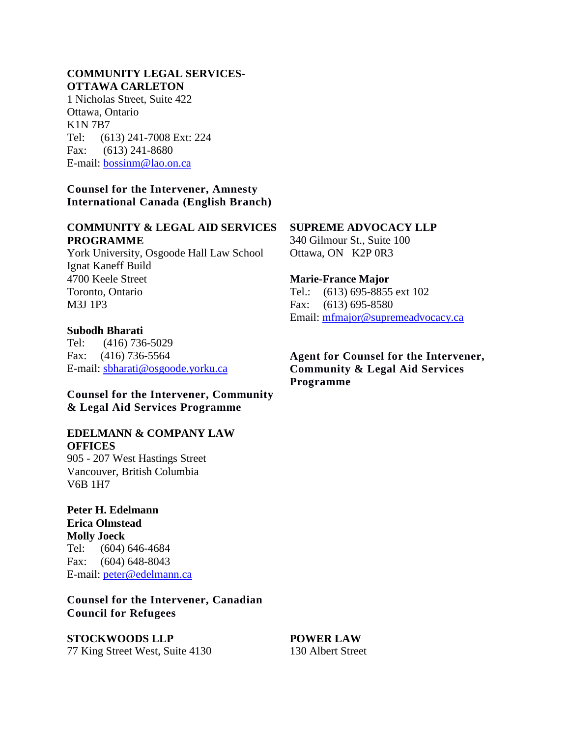#### **COMMUNITY LEGAL SERVICES-OTTAWA CARLETON**

1 Nicholas Street, Suite 422 Ottawa, Ontario K1N 7B7 Tel: (613) 241-7008 Ext: 224 Fax: (613) 241-8680 E-mail: [bossinm@lao.on.ca](mailto:bossinm@lao.on.ca)

### **Counsel for the Intervener, Amnesty International Canada (English Branch)**

### **COMMUNITY & LEGAL AID SERVICES PROGRAMME**

York University, Osgoode Hall Law School Ignat Kaneff Build 4700 Keele Street Toronto, Ontario M3J 1P3

### **Subodh Bharati**

Tel: (416) 736-5029 Fax: (416) 736-5564 E-mail: [sbharati@osgoode.yorku.ca](mailto:sbharati@osgoode.yorku.ca)

### **Counsel for the Intervener, Community & Legal Aid Services Programme**

#### **EDELMANN & COMPANY LAW OFFICES**

905 - 207 West Hastings Street Vancouver, British Columbia V6B 1H7

**Peter H. Edelmann Erica Olmstead Molly Joeck** Tel: (604) 646-4684 Fax: (604) 648-8043 E-mail: [peter@edelmann.ca](mailto:peter@edelmann.ca)

**Counsel for the Intervener, Canadian Council for Refugees**

# **STOCKWOODS LLP**

77 King Street West, Suite 4130

### **SUPREME ADVOCACY LLP**

340 Gilmour St., Suite 100 Ottawa, ON K2P 0R3

#### **Marie-France Major**

Tel.: (613) 695-8855 ext 102 Fax: (613) 695-8580 Email: [mfmajor@supremeadvocacy.ca](mailto:mfmajor@supremeadvocacy.ca)

**Agent for Counsel for the Intervener, Community & Legal Aid Services Programme**

**POWER LAW** 130 Albert Street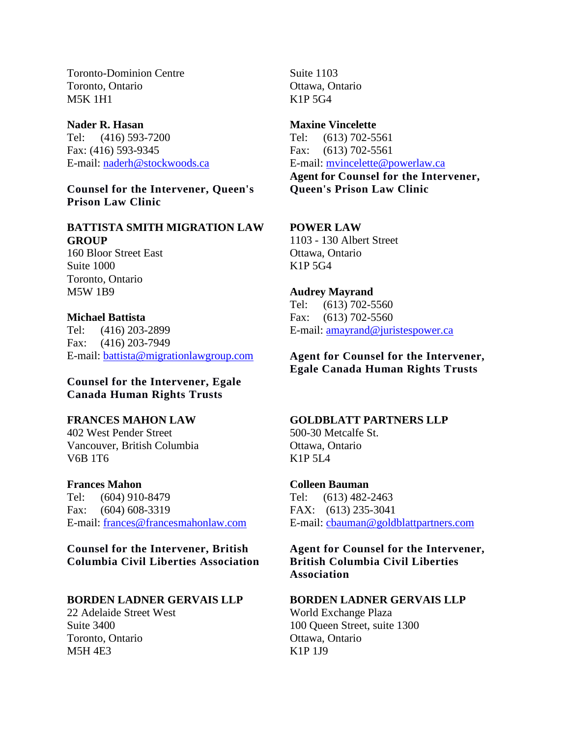Toronto-Dominion Centre Toronto, Ontario M5K 1H1

**Nader R. Hasan** Tel: (416) 593-7200 Fax: (416) 593-9345 E-mail: [naderh@stockwoods.ca](mailto:naderh@stockwoods.ca)

**Counsel for the Intervener, Queen's Prison Law Clinic**

# **BATTISTA SMITH MIGRATION LAW GROUP**

160 Bloor Street East Suite 1000 Toronto, Ontario M5W 1B9

### **Michael Battista**

Tel: (416) 203-2899 Fax: (416) 203-7949 E-mail: [battista@migrationlawgroup.com](mailto:battista@migrationlawgroup.com)

**Counsel for the Intervener, Egale Canada Human Rights Trusts**

### **FRANCES MAHON LAW**

402 West Pender Street Vancouver, British Columbia V6B 1T6

**Frances Mahon**

Tel: (604) 910-8479 Fax: (604) 608-3319 E-mail: [frances@francesmahonlaw.com](mailto:frances@francesmahonlaw.com)

**Counsel for the Intervener, British Columbia Civil Liberties Association**

### **BORDEN LADNER GERVAIS LLP**

22 Adelaide Street West Suite 3400 Toronto, Ontario M5H 4E3

Suite 1103 Ottawa, Ontario K1P 5G4

**Maxine Vincelette** Tel: (613) 702-5561 Fax: (613) 702-5561 E-mail: [mvincelette@powerlaw.ca](mailto:mvincelette@powerlaw.ca) **Agent for Counsel for the Intervener, Queen's Prison Law Clinic**

### **POWER LAW**

1103 - 130 Albert Street Ottawa, Ontario K1P 5G4

**Audrey Mayrand** Tel: (613) 702-5560 Fax: (613) 702-5560 E-mail: [amayrand@juristespower.ca](mailto:amayrand@juristespower.ca)

**Agent for Counsel for the Intervener, Egale Canada Human Rights Trusts**

### **GOLDBLATT PARTNERS LLP**

500-30 Metcalfe St. Ottawa, Ontario K<sub>1</sub>P  $5I_4$ 

#### **Colleen Bauman**

Tel: (613) 482-2463 FAX: (613) 235-3041 E-mail: [cbauman@goldblattpartners.com](mailto:cbauman@goldblattpartners.com)

**Agent for Counsel for the Intervener, British Columbia Civil Liberties Association**

#### **BORDEN LADNER GERVAIS LLP**

World Exchange Plaza 100 Queen Street, suite 1300 Ottawa, Ontario K1P 1J9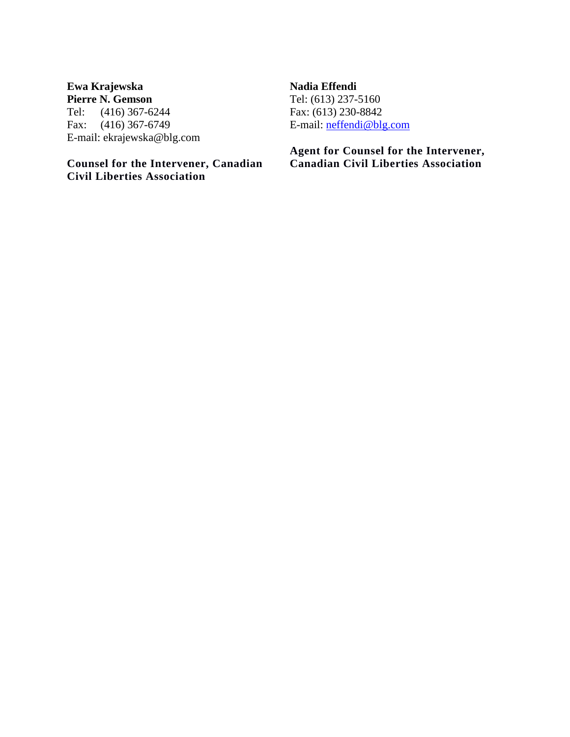### **Ewa Krajewska Pierre N. Gemson**

Tel: (416) 367-6244 Fax: (416) 367-6749 E-mail: ekrajewska@blg.com

# **Counsel for the Intervener, Canadian Civil Liberties Association**

### **Nadia Effendi**

Tel: (613) 237-5160 Fax: (613) 230-8842 E-mail: [neffendi@blg.com](mailto:neffendi@blg.com)

**Agent for Counsel for the Intervener, Canadian Civil Liberties Association**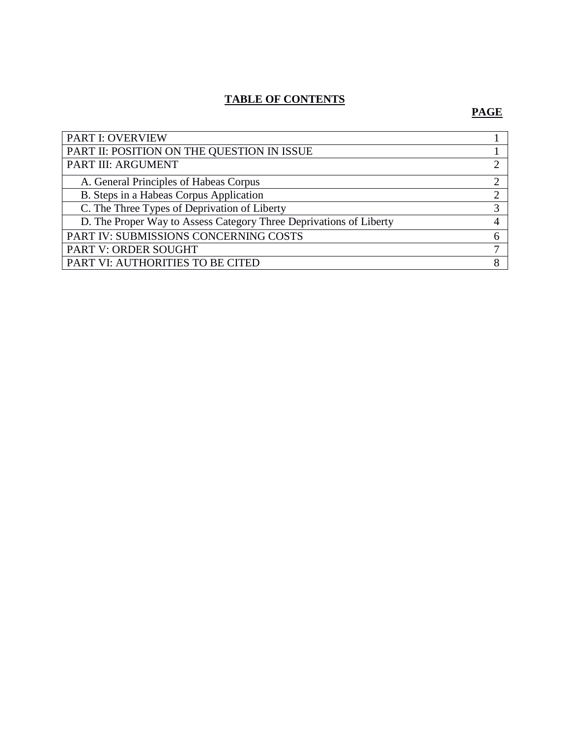# **TABLE OF CONTENTS**

# **PAGE**

| <b>PART I: OVERVIEW</b>                                            |  |
|--------------------------------------------------------------------|--|
| PART II: POSITION ON THE QUESTION IN ISSUE                         |  |
| PART III: ARGUMENT                                                 |  |
| A. General Principles of Habeas Corpus                             |  |
| B. Steps in a Habeas Corpus Application                            |  |
| C. The Three Types of Deprivation of Liberty                       |  |
| D. The Proper Way to Assess Category Three Deprivations of Liberty |  |
| PART IV: SUBMISSIONS CONCERNING COSTS                              |  |
| PART V: ORDER SOUGHT                                               |  |
| PART VI: AUTHORITIES TO BE CITED                                   |  |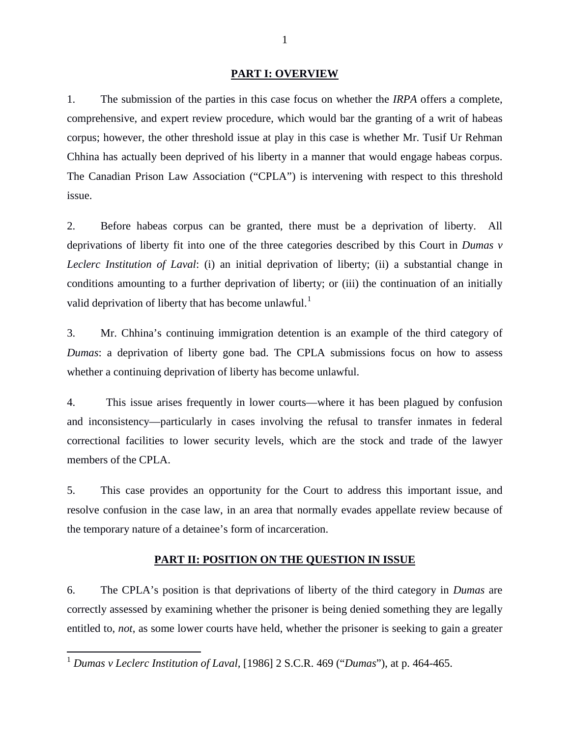#### **PART I: OVERVIEW**

1. The submission of the parties in this case focus on whether the *IRPA* offers a complete, comprehensive, and expert review procedure, which would bar the granting of a writ of habeas corpus; however, the other threshold issue at play in this case is whether Mr. Tusif Ur Rehman Chhina has actually been deprived of his liberty in a manner that would engage habeas corpus. The Canadian Prison Law Association ("CPLA") is intervening with respect to this threshold issue.

2. Before habeas corpus can be granted, there must be a deprivation of liberty. All deprivations of liberty fit into one of the three categories described by this Court in *Dumas v Leclerc Institution of Laval*: (i) an initial deprivation of liberty; (ii) a substantial change in conditions amounting to a further deprivation of liberty; or (iii) the continuation of an initially valid deprivation of liberty that has become unlawful.<sup>[1](#page-7-0)</sup>

3. Mr. Chhina's continuing immigration detention is an example of the third category of *Dumas*: a deprivation of liberty gone bad. The CPLA submissions focus on how to assess whether a continuing deprivation of liberty has become unlawful.

4. This issue arises frequently in lower courts—where it has been plagued by confusion and inconsistency—particularly in cases involving the refusal to transfer inmates in federal correctional facilities to lower security levels, which are the stock and trade of the lawyer members of the CPLA.

5. This case provides an opportunity for the Court to address this important issue, and resolve confusion in the case law, in an area that normally evades appellate review because of the temporary nature of a detainee's form of incarceration.

### **PART II: POSITION ON THE QUESTION IN ISSUE**

6. The CPLA's position is that deprivations of liberty of the third category in *Dumas* are correctly assessed by examining whether the prisoner is being denied something they are legally entitled to, *not*, as some lower courts have held, whether the prisoner is seeking to gain a greater

<span id="page-7-0"></span><sup>1</sup> *Dumas v Leclerc Institution of Laval,* [1986] 2 S.C.R. 469 ("*Dumas*"), at p. 464-465.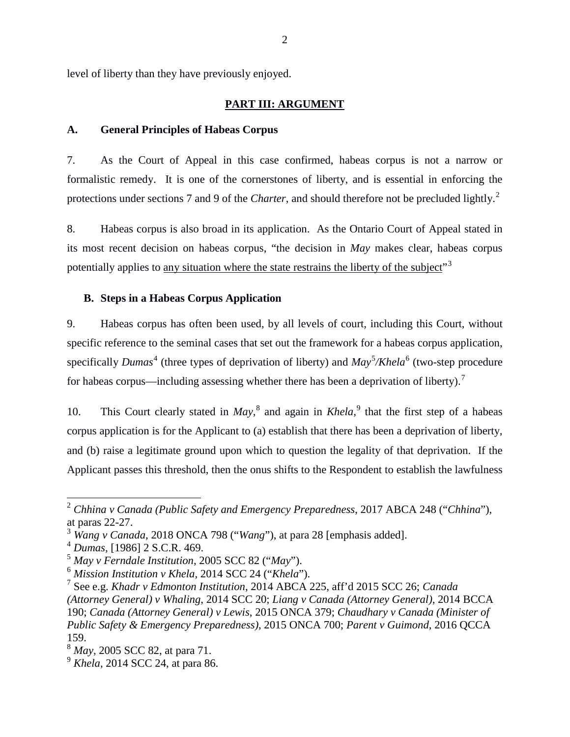level of liberty than they have previously enjoyed.

#### **PART III: ARGUMENT**

### **A. General Principles of Habeas Corpus**

7. As the Court of Appeal in this case confirmed, habeas corpus is not a narrow or formalistic remedy. It is one of the cornerstones of liberty, and is essential in enforcing the protections under sections 7 and 9 of the *Charter*, and should therefore not be precluded lightly. [2](#page-8-0)

8. Habeas corpus is also broad in its application. As the Ontario Court of Appeal stated in its most recent decision on habeas corpus, "the decision in *May* makes clear, habeas corpus potentially applies to any situation where the state restrains the liberty of the subject"<sup>[3](#page-8-1)</sup>

#### **B. Steps in a Habeas Corpus Application**

9. Habeas corpus has often been used, by all levels of court, including this Court, without specific reference to the seminal cases that set out the framework for a habeas corpus application, specifically *Dumas*<sup>[4](#page-8-2)</sup> (three types of deprivation of liberty) and *May*<sup>[5](#page-8-3)</sup>/*Khela*<sup>[6](#page-8-4)</sup> (two-step procedure for habeas corpus—including assessing whether there has been a deprivation of liberty).<sup>[7](#page-8-5)</sup>

10. This Court clearly stated in *May*, [8](#page-8-6) and again in *Khela*, [9](#page-8-7) that the first step of a habeas corpus application is for the Applicant to (a) establish that there has been a deprivation of liberty, and (b) raise a legitimate ground upon which to question the legality of that deprivation. If the Applicant passes this threshold, then the onus shifts to the Respondent to establish the lawfulness

<span id="page-8-0"></span><sup>2</sup> *Chhina v Canada (Public Safety and Emergency Preparedness*, 2017 ABCA 248 ("*Chhina*"), at paras 22-27.

<span id="page-8-2"></span><span id="page-8-1"></span><sup>3</sup> *Wang v Canada*, 2018 ONCA 798 ("*Wang*"), at para 28 [emphasis added]. <sup>4</sup> *Dumas*, [1986] 2 S.C.R. 469. <sup>5</sup> *May v Ferndale Institution*, 2005 SCC 82 ("*May*").

<span id="page-8-5"></span><span id="page-8-4"></span><span id="page-8-3"></span><sup>6</sup> *Mission Institution v Khela*, 2014 SCC 24 ("*Khela*"). <sup>7</sup> See e.g. *Khadr v Edmonton Institution*, 2014 ABCA 225, aff'd 2015 SCC 26; *Canada (Attorney General) v Whaling*, 2014 SCC 20; *Liang v Canada (Attorney General)*, 2014 BCCA 190; *Canada (Attorney General) v Lewis*, 2015 ONCA 379; *Chaudhary v Canada (Minister of Public Safety & Emergency Preparedness)*, 2015 ONCA 700; *Parent v Guimond*, 2016 QCCA 159.

<span id="page-8-6"></span><sup>8</sup> *May*, 2005 SCC 82, at para 71.

<span id="page-8-7"></span><sup>9</sup> *Khela*, 2014 SCC 24, at para 86.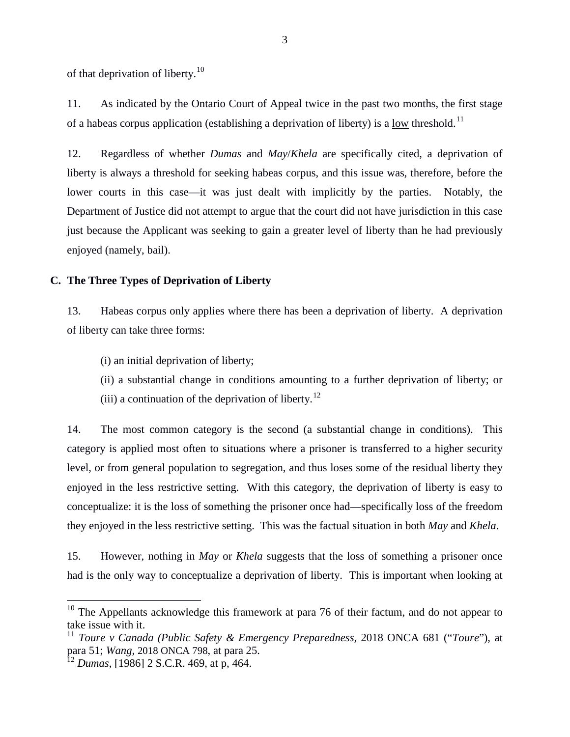of that deprivation of liberty.<sup>[10](#page-9-0)</sup>

11. As indicated by the Ontario Court of Appeal twice in the past two months, the first stage of a habeas corpus application (establishing a deprivation of liberty) is a <u>low</u> threshold.<sup>[11](#page-9-1)</sup>

12. Regardless of whether *Dumas* and *May*/*Khela* are specifically cited, a deprivation of liberty is always a threshold for seeking habeas corpus, and this issue was, therefore, before the lower courts in this case—it was just dealt with implicitly by the parties. Notably, the Department of Justice did not attempt to argue that the court did not have jurisdiction in this case just because the Applicant was seeking to gain a greater level of liberty than he had previously enjoyed (namely, bail).

### **C. The Three Types of Deprivation of Liberty**

13. Habeas corpus only applies where there has been a deprivation of liberty. A deprivation of liberty can take three forms:

(i) an initial deprivation of liberty;

(ii) a substantial change in conditions amounting to a further deprivation of liberty; or

(iii) a continuation of the deprivation of liberty.<sup>[12](#page-9-2)</sup>

14. The most common category is the second (a substantial change in conditions). This category is applied most often to situations where a prisoner is transferred to a higher security level, or from general population to segregation, and thus loses some of the residual liberty they enjoyed in the less restrictive setting. With this category, the deprivation of liberty is easy to conceptualize: it is the loss of something the prisoner once had—specifically loss of the freedom they enjoyed in the less restrictive setting. This was the factual situation in both *May* and *Khela*.

15. However, nothing in *May* or *Khela* suggests that the loss of something a prisoner once had is the only way to conceptualize a deprivation of liberty. This is important when looking at

<span id="page-9-0"></span> $10$  The Appellants acknowledge this framework at para 76 of their factum, and do not appear to take issue with it.

<span id="page-9-1"></span><sup>&</sup>lt;sup>11</sup> *Toure v Canada (Public Safety & Emergency Preparedness,* 2018 ONCA 681 ("*Toure*"), at para 51; *Wang,* 2018 ONCA 798, at para 25.

<span id="page-9-2"></span><sup>12</sup> *Dumas*, [1986] 2 S.C.R. 469, at p, 464.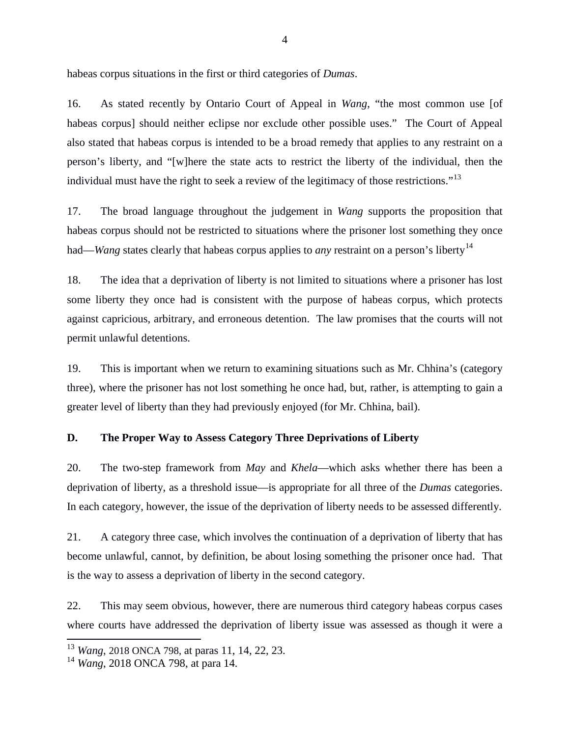habeas corpus situations in the first or third categories of *Dumas*.

16. As stated recently by Ontario Court of Appeal in *Wang*, "the most common use [of habeas corpus] should neither eclipse nor exclude other possible uses." The Court of Appeal also stated that habeas corpus is intended to be a broad remedy that applies to any restraint on a person's liberty, and "[w]here the state acts to restrict the liberty of the individual, then the individual must have the right to seek a review of the legitimacy of those restrictions."<sup>13</sup>

17. The broad language throughout the judgement in *Wang* supports the proposition that habeas corpus should not be restricted to situations where the prisoner lost something they once had—*Wang* states clearly that habeas corpus applies to *any* restraint on a person's liberty<sup>[14](#page-10-1)</sup>

18. The idea that a deprivation of liberty is not limited to situations where a prisoner has lost some liberty they once had is consistent with the purpose of habeas corpus, which protects against capricious, arbitrary, and erroneous detention. The law promises that the courts will not permit unlawful detentions.

19. This is important when we return to examining situations such as Mr. Chhina's (category three), where the prisoner has not lost something he once had, but, rather, is attempting to gain a greater level of liberty than they had previously enjoyed (for Mr. Chhina, bail).

### **D. The Proper Way to Assess Category Three Deprivations of Liberty**

20. The two-step framework from *May* and *Khela*—which asks whether there has been a deprivation of liberty, as a threshold issue—is appropriate for all three of the *Dumas* categories. In each category, however, the issue of the deprivation of liberty needs to be assessed differently.

21. A category three case, which involves the continuation of a deprivation of liberty that has become unlawful, cannot, by definition, be about losing something the prisoner once had. That is the way to assess a deprivation of liberty in the second category.

22. This may seem obvious, however, there are numerous third category habeas corpus cases where courts have addressed the deprivation of liberty issue was assessed as though it were a

<span id="page-10-0"></span><sup>13</sup> *Wang*, 2018 ONCA 798, at paras 11, 14, 22, 23.

<span id="page-10-1"></span><sup>14</sup> *Wang*, 2018 ONCA 798, at para 14.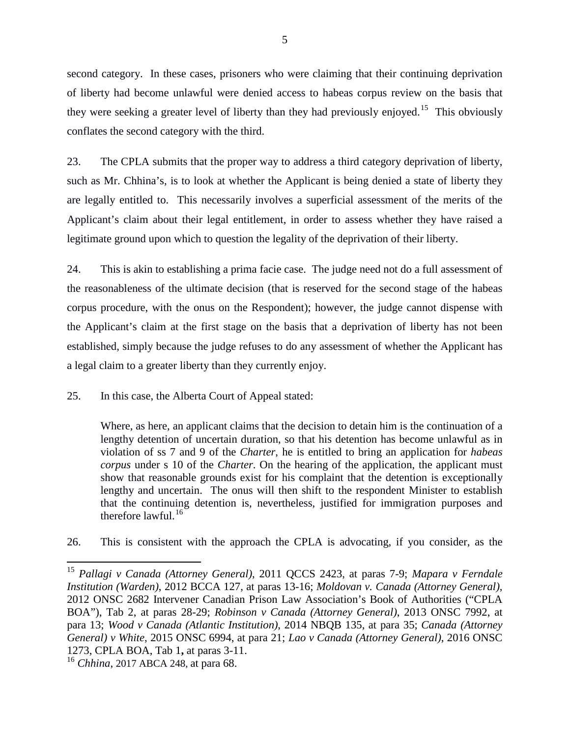second category. In these cases, prisoners who were claiming that their continuing deprivation of liberty had become unlawful were denied access to habeas corpus review on the basis that they were seeking a greater level of liberty than they had previously enjoyed.<sup>[15](#page-11-0)</sup> This obviously conflates the second category with the third.

23. The CPLA submits that the proper way to address a third category deprivation of liberty, such as Mr. Chhina's, is to look at whether the Applicant is being denied a state of liberty they are legally entitled to. This necessarily involves a superficial assessment of the merits of the Applicant's claim about their legal entitlement, in order to assess whether they have raised a legitimate ground upon which to question the legality of the deprivation of their liberty.

24. This is akin to establishing a prima facie case. The judge need not do a full assessment of the reasonableness of the ultimate decision (that is reserved for the second stage of the habeas corpus procedure, with the onus on the Respondent); however, the judge cannot dispense with the Applicant's claim at the first stage on the basis that a deprivation of liberty has not been established, simply because the judge refuses to do any assessment of whether the Applicant has a legal claim to a greater liberty than they currently enjoy.

25. In this case, the Alberta Court of Appeal stated:

Where, as here, an applicant claims that the decision to detain him is the continuation of a lengthy detention of uncertain duration, so that his detention has become unlawful as in violation of ss 7 and 9 of the *[Charter](https://www.canlii.org/en/ca/laws/stat/schedule-b-to-the-canada-act-1982-uk-1982-c-11/latest/schedule-b-to-the-canada-act-1982-uk-1982-c-11.html)*, he is entitled to bring an application for *habeas corpus* under s 10 of the *[Charter](https://www.canlii.org/en/ca/laws/stat/schedule-b-to-the-canada-act-1982-uk-1982-c-11/latest/schedule-b-to-the-canada-act-1982-uk-1982-c-11.html)*. On the hearing of the application, the applicant must show that reasonable grounds exist for his complaint that the detention is exceptionally lengthy and uncertain. The onus will then shift to the respondent Minister to establish that the continuing detention is, nevertheless, justified for immigration purposes and therefore lawful. $^{16}$  $^{16}$  $^{16}$ 

26. This is consistent with the approach the CPLA is advocating, if you consider, as the

<span id="page-11-0"></span><sup>15</sup> *Pallagi v Canada (Attorney General)*, 2011 QCCS 2423, at paras 7-9; *Mapara v Ferndale Institution (Warden)*, 2012 BCCA 127, at paras 13-16; *Moldovan v. Canada (Attorney General)*, 2012 ONSC 2682 Intervener Canadian Prison Law Association's Book of Authorities ("CPLA BOA"), Tab 2, at paras 28-29; *Robinson v Canada (Attorney General)*, 2013 ONSC 7992, at para 13; *Wood v Canada (Atlantic Institution)*, 2014 NBQB 135, at para 35; *Canada (Attorney General) v White*, 2015 ONSC 6994, at para 21; *Lao v Canada (Attorney General)*, 2016 ONSC 1273, CPLA BOA, Tab 1**,** at paras 3-11.

<span id="page-11-1"></span><sup>16</sup> *Chhina*, 2017 ABCA 248, at para 68.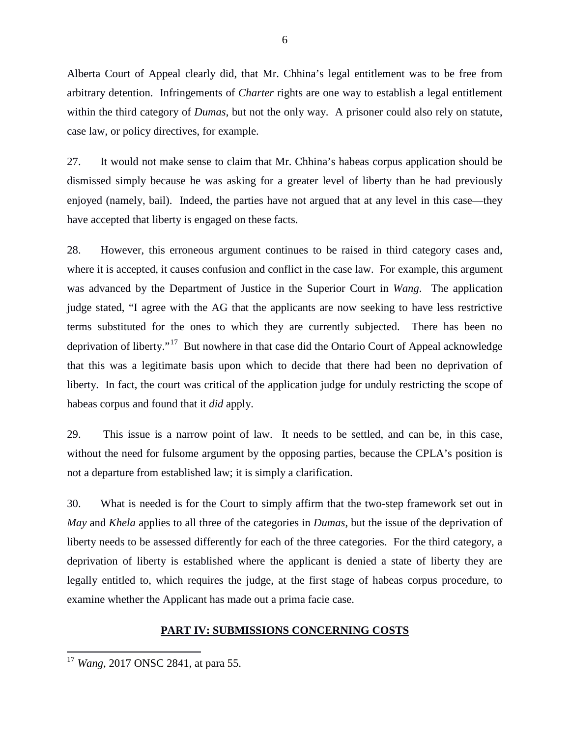Alberta Court of Appeal clearly did, that Mr. Chhina's legal entitlement was to be free from arbitrary detention. Infringements of *Charter* rights are one way to establish a legal entitlement within the third category of *Dumas*, but not the only way. A prisoner could also rely on statute, case law, or policy directives, for example.

27. It would not make sense to claim that Mr. Chhina's habeas corpus application should be dismissed simply because he was asking for a greater level of liberty than he had previously enjoyed (namely, bail). Indeed, the parties have not argued that at any level in this case—they have accepted that liberty is engaged on these facts.

28. However, this erroneous argument continues to be raised in third category cases and, where it is accepted, it causes confusion and conflict in the case law. For example, this argument was advanced by the Department of Justice in the Superior Court in *Wang*. The application judge stated, "I agree with the AG that the applicants are now seeking to have less restrictive terms substituted for the ones to which they are currently subjected. There has been no deprivation of liberty."<sup>[17](#page-12-0)</sup> But nowhere in that case did the Ontario Court of Appeal acknowledge that this was a legitimate basis upon which to decide that there had been no deprivation of liberty. In fact, the court was critical of the application judge for unduly restricting the scope of habeas corpus and found that it *did* apply.

29. This issue is a narrow point of law. It needs to be settled, and can be, in this case, without the need for fulsome argument by the opposing parties, because the CPLA's position is not a departure from established law; it is simply a clarification.

30. What is needed is for the Court to simply affirm that the two-step framework set out in *May* and *Khela* applies to all three of the categories in *Dumas*, but the issue of the deprivation of liberty needs to be assessed differently for each of the three categories. For the third category, a deprivation of liberty is established where the applicant is denied a state of liberty they are legally entitled to, which requires the judge, at the first stage of habeas corpus procedure, to examine whether the Applicant has made out a prima facie case.

### **PART IV: SUBMISSIONS CONCERNING COSTS**

<span id="page-12-0"></span><sup>17</sup> *Wang*, 2017 ONSC 2841, at para 55.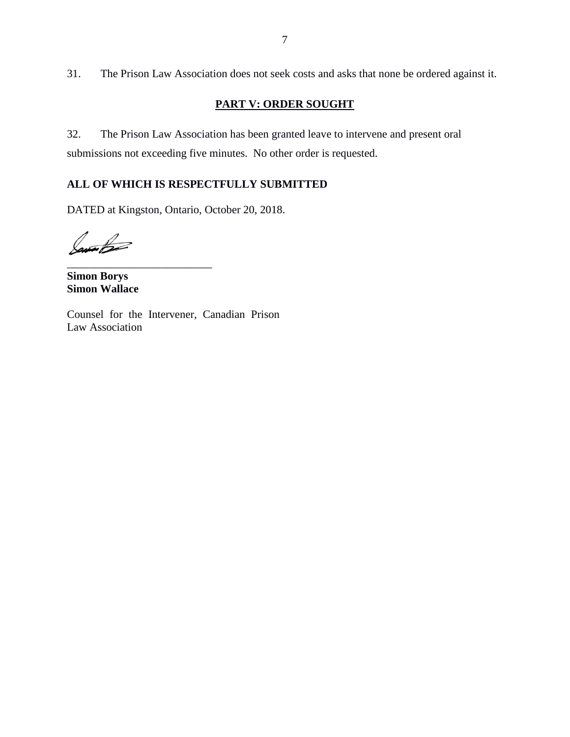31. The Prison Law Association does not seek costs and asks that none be ordered against it.

# **PART V: ORDER SOUGHT**

32. The Prison Law Association has been granted leave to intervene and present oral submissions not exceeding five minutes. No other order is requested.

# **ALL OF WHICH IS RESPECTFULLY SUBMITTED**

DATED at Kingston, Ontario, October 20, 2018.

Jam B

**Simon Borys Simon Wallace**

\_\_\_\_\_\_\_\_\_\_\_\_\_\_\_\_\_\_\_\_\_\_\_\_\_\_

Counsel for the Intervener, Canadian Prison Law Association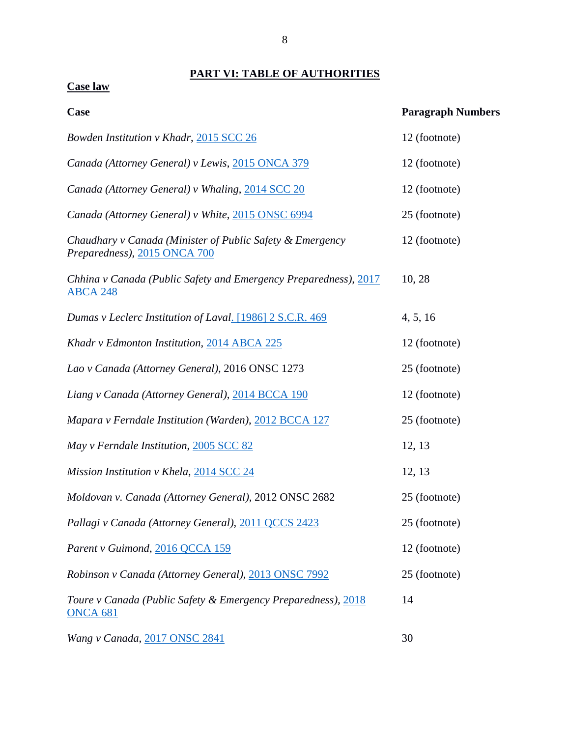# **PART VI: TABLE OF AUTHORITIES**

**Case law**

| Case                                                                                      | <b>Paragraph Numbers</b> |
|-------------------------------------------------------------------------------------------|--------------------------|
| Bowden Institution v Khadr, 2015 SCC 26                                                   | 12 (footnote)            |
| Canada (Attorney General) v Lewis, 2015 ONCA 379                                          | 12 (footnote)            |
| Canada (Attorney General) v Whaling, 2014 SCC 20                                          | 12 (footnote)            |
| Canada (Attorney General) v White, 2015 ONSC 6994                                         | 25 (footnote)            |
| Chaudhary v Canada (Minister of Public Safety & Emergency<br>Preparedness), 2015 ONCA 700 | 12 (footnote)            |
| Chhina v Canada (Public Safety and Emergency Preparedness), 2017<br><b>ABCA 248</b>       | 10, 28                   |
| Dumas v Leclerc Institution of Laval. [1986] 2 S.C.R. 469                                 | 4, 5, 16                 |
| Khadr v Edmonton Institution, 2014 ABCA 225                                               | 12 (footnote)            |
| Lao v Canada (Attorney General), 2016 ONSC 1273                                           | 25 (footnote)            |
| Liang v Canada (Attorney General), 2014 BCCA 190                                          | 12 (footnote)            |
| Mapara v Ferndale Institution (Warden), 2012 BCCA 127                                     | 25 (footnote)            |
| May v Ferndale Institution, 2005 SCC 82                                                   | 12, 13                   |
| Mission Institution v Khela, 2014 SCC 24                                                  | 12, 13                   |
| Moldovan v. Canada (Attorney General), 2012 ONSC 2682                                     | 25 (footnote)            |
| Pallagi v Canada (Attorney General), 2011 QCCS 2423                                       | 25 (footnote)            |
| Parent v Guimond, 2016 QCCA 159                                                           | 12 (footnote)            |
| Robinson v Canada (Attorney General), 2013 ONSC 7992                                      | 25 (footnote)            |
| Toure v Canada (Public Safety & Emergency Preparedness), 2018<br><b>ONCA 681</b>          | 14                       |
| Wang v Canada, 2017 ONSC 2841                                                             | 30                       |